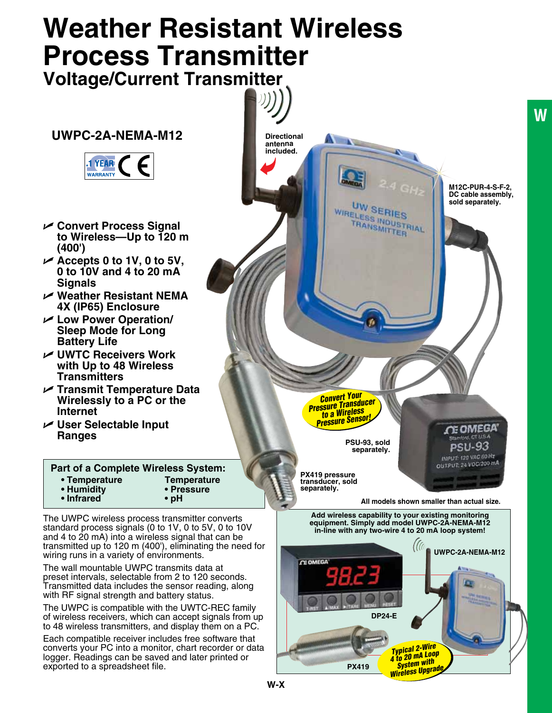# **Weather Resistant Wireless Process Transmitter**

**Voltage/Current Transmitter**

# **UWPC-2A-NEMA-M12**



- U **Convert Process Signal to Wireless—Up to 120 m (400')**
- U **Accepts 0 to 1V, 0 to 5V, 0 to 10V and 4 to 20 mA Signals**
- U **Weather Resistant NEMA 4X (IP65) Enclosure**
- U **Low Power Operation/ Sleep Mode for Long Battery Life**
- U **UWTC Receivers Work with Up to 48 Wireless Transmitters**
- U **Transmit Temperature Data Wirelessly to a PC or the Internet**
- U **User Selectable Input Ranges**

#### **• Temperature • Humidity • Infrared Temperature • Pressure • pH Part of a Complete Wireless System:**

The UWPC wireless process transmitter converts standard process signals (0 to 1V, 0 to 5V, 0 to 10V and 4 to 20 mA) into a wireless signal that can be transmitted up to 120 m (400'), eliminating the need for wiring runs in a variety of environments.

The wall mountable UWPC transmits data at preset intervals, selectable from 2 to 120 seconds. Transmitted data includes the sensor reading, along with RF signal strength and battery status.

The UWPC is compatible with the UWTC-REC family of wireless receivers, which can accept signals from up to 48 wireless transmitters, and display them on a PC.

Each compatible receiver includes free software that converts your PC into a monitor, chart recorder or data logger. Readings can be saved and later printed or exported to a spreadsheet file.





**W**